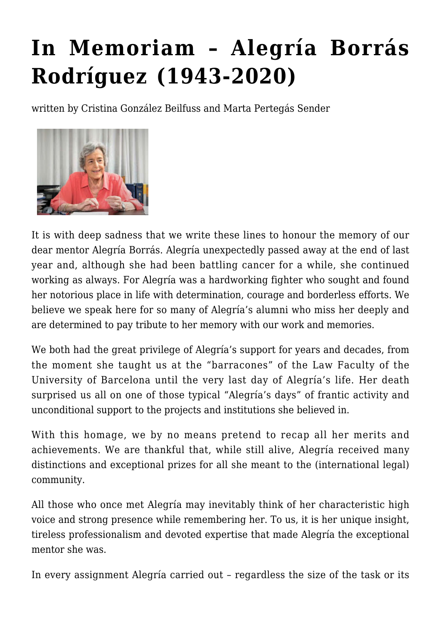## **[In Memoriam – Alegría Borrás](https://conflictoflaws.net/2021/in-memoriam-alegria-borras-rodriguez-1943-2020/) [Rodríguez \(1943-2020\)](https://conflictoflaws.net/2021/in-memoriam-alegria-borras-rodriguez-1943-2020/)**

written by Cristina González Beilfuss and Marta Pertegás Sender



It is with deep sadness that we write these lines to honour the memory of our dear mentor Alegría Borrás. Alegría unexpectedly passed away at the end of last year and, although she had been battling cancer for a while, she continued working as always. For Alegría was a hardworking fighter who sought and found her notorious place in life with determination, courage and borderless efforts. We believe we speak here for so many of Alegría's alumni who miss her deeply and are determined to pay tribute to her memory with our work and memories.

We both had the great privilege of Alegría's support for years and decades, from the moment she taught us at the "barracones" of the Law Faculty of the University of Barcelona until the very last day of Alegría's life. Her death surprised us all on one of those typical "Alegría's days" of frantic activity and unconditional support to the projects and institutions she believed in.

With this homage, we by no means pretend to recap all her merits and achievements. We are thankful that, while still alive, Alegría received many distinctions and exceptional prizes for all she meant to the (international legal) community.

All those who once met Alegría may inevitably think of her characteristic high voice and strong presence while remembering her. To us, it is her unique insight, tireless professionalism and devoted expertise that made Alegría the exceptional mentor she was.

In every assignment Alegría carried out – regardless the size of the task or its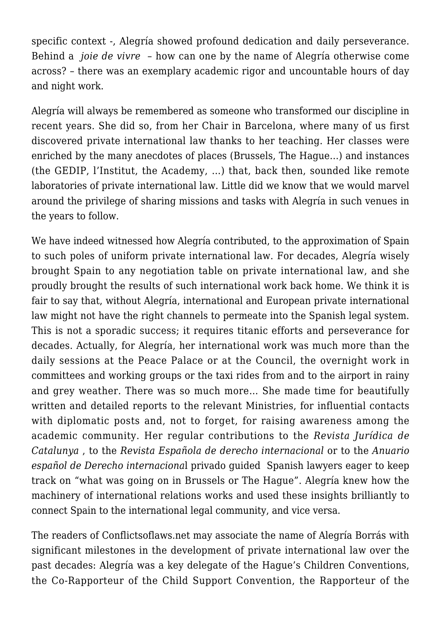specific context -, Alegría showed profound dedication and daily perseverance. Behind a *joie de vivre* – how can one by the name of Alegría otherwise come across? – there was an exemplary academic rigor and uncountable hours of day and night work.

Alegría will always be remembered as someone who transformed our discipline in recent years. She did so, from her Chair in Barcelona, where many of us first discovered private international law thanks to her teaching. Her classes were enriched by the many anecdotes of places (Brussels, The Hague…) and instances (the GEDIP, l'Institut, the Academy, …) that, back then, sounded like remote laboratories of private international law. Little did we know that we would marvel around the privilege of sharing missions and tasks with Alegría in such venues in the years to follow.

We have indeed witnessed how Alegría contributed, to the approximation of Spain to such poles of uniform private international law. For decades, Alegría wisely brought Spain to any negotiation table on private international law, and she proudly brought the results of such international work back home. We think it is fair to say that, without Alegría, international and European private international law might not have the right channels to permeate into the Spanish legal system. This is not a sporadic success; it requires titanic efforts and perseverance for decades. Actually, for Alegría, her international work was much more than the daily sessions at the Peace Palace or at the Council, the overnight work in committees and working groups or the taxi rides from and to the airport in rainy and grey weather. There was so much more… She made time for beautifully written and detailed reports to the relevant Ministries, for influential contacts with diplomatic posts and, not to forget, for raising awareness among the academic community. Her regular contributions to the *Revista Jurídica de Catalunya* , to the *Revista Española de derecho internacional* or to the *Anuario español de Derecho internaciona*l privado guided Spanish lawyers eager to keep track on "what was going on in Brussels or The Hague". Alegría knew how the machinery of international relations works and used these insights brilliantly to connect Spain to the international legal community, and vice versa.

The readers of Conflictsoflaws.net may associate the name of Alegría Borrás with significant milestones in the development of private international law over the past decades: Alegría was a key delegate of the Hague's Children Conventions, the Co-Rapporteur of the Child Support Convention, the Rapporteur of the